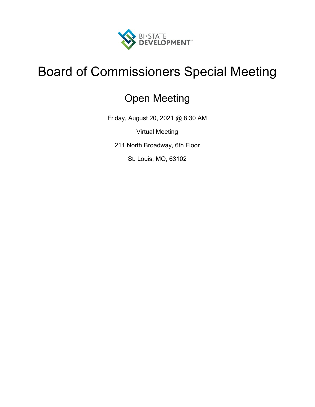

# Board of Commissioners Special Meeting

## Open Meeting

Friday, August 20, 2021 @ 8:30 AM

Virtual Meeting

211 North Broadway, 6th Floor

St. Louis, MO, 63102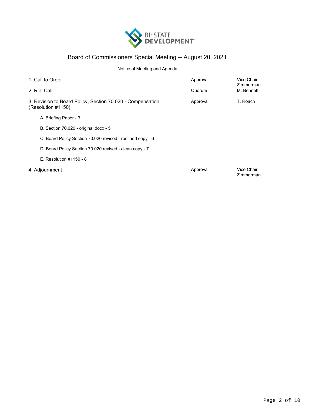

## Board of Commissioners Special Meeting -- August 20, 2021

## Notice of Meeting and Agenda

| 1. Call to Order                                                                 |                                                            | Approval | Vice Chair<br>Zimmerman |
|----------------------------------------------------------------------------------|------------------------------------------------------------|----------|-------------------------|
| 2. Roll Call                                                                     |                                                            | Quorum   | M. Bennett              |
| 3. Revision to Board Policy, Section 70.020 - Compensation<br>(Resolution #1150) |                                                            | Approval | T. Roach                |
|                                                                                  | A. Briefing Paper - 3                                      |          |                         |
|                                                                                  | B. Section 70.020 - original.docx - 5                      |          |                         |
|                                                                                  | C. Board Policy Section 70.020 revised - redlined copy - 6 |          |                         |
|                                                                                  | D. Board Policy Section 70.020 revised - clean copy - 7    |          |                         |
|                                                                                  | $E.$ Resolution $\#1150 - 8$                               |          |                         |
|                                                                                  | 4. Adjournment                                             | Approval | Vice Chair<br>Zimmerman |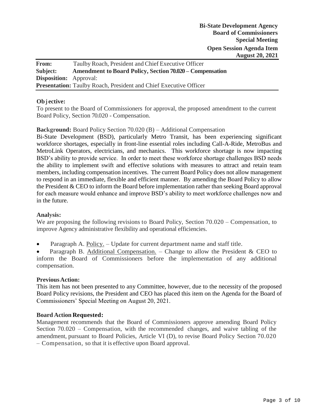| From:                         | Taulby Roach, President and Chief Executive Officer                      |
|-------------------------------|--------------------------------------------------------------------------|
| Subject:                      | <b>Amendment to Board Policy, Section 70.020 – Compensation</b>          |
| <b>Disposition:</b> Approval: |                                                                          |
|                               | <b>Presentation:</b> Taulby Roach, President and Chief Executive Officer |

## **Obj ective:**

To present to the Board of Commissioners for approval, the proposed amendment to the current Board Policy, Section 70.020 - Compensation.

## **Background:** Board Policy Section 70.020 (B) – Additional Compensation

Bi-State Development (BSD), particularly Metro Transit, has been experiencing significant workforce shortages, especially in front-line essential roles including Call-A-Ride, MetroBus and MetroLink Operators, electricians, and mechanics. This workforce shortage is now impacting BSD's ability to provide service. In order to meet these workforce shortage challenges BSD needs the ability to implement swift and effective solutions with measures to attract and retain team members, including compensation incentives. The current Board Policy does not allow management to respond in an immediate, flexible and efficient manner. By amending the Board Policy to allow the President & CEO to inform the Board before implementation rather than seeking Board approval for each measure would enhance and improve BSD's ability to meet workforce challenges now and in the future.

## **Analysis:**

We are proposing the following revisions to Board Policy, Section 70.020 – Compensation, to improve Agency administrative flexibility and operational efficiencies.

Paragraph A. Policy. - Update for current department name and staff title.

Paragraph B. Additional Compensation. – Change to allow the President & CEO to inform the Board of Commissioners before the implementation of any additional compensation.

## **PreviousAction:**

This item has not been presented to any Committee, however, due to the necessity of the proposed Board Policy revisions, the President and CEO has placed this item on the Agenda for the Board of Commissioners' Special Meeting on August 20, 2021.

## **Board Action Requested:**

Management recommends that the Board of Commissioners approve amending Board Policy Section 70.020 – Compensation, with the recommended changes, and waive tabling of the amendment, pursuant to Board Policies, Article VI (D), to revise Board Policy Section 70.020 – Compensation, so that it is effective upon Board approval.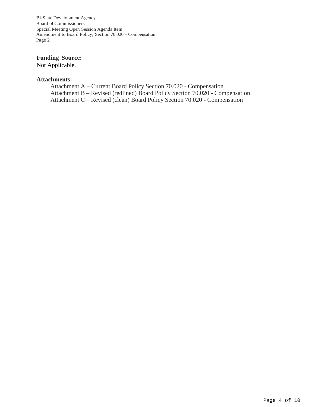Bi-State Development Agency Board of Commissioners Special Meeting Open Session Agenda Item Amendment to Board Policy, Section 70.020 – Compensation Page 2

## **Funding Source:**

Not Applicable.

## **Attachments:**

Attachment A – Current Board Policy Section 70.020 - Compensation Attachment B – Revised (redlined) Board Policy Section 70.020 - Compensation Attachment C – Revised (clean) Board Policy Section 70.020 - Compensation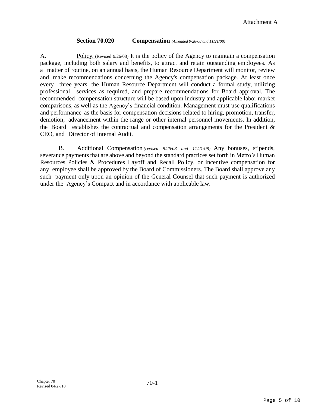## **Section 70.020 Compensation** *(Amended 9/26/08 and 11/21/08)*

A. Policy. (Revised 9/26/08) It is the policy of the Agency to maintain a compensation package, including both salary and benefits, to attract and retain outstanding employees. As a matter of routine, on an annual basis, the Human Resource Department will monitor, review and make recommendations concerning the Agency's compensation package. At least once every three years, the Human Resource Department will conduct a formal study, utilizing professional services as required, and prepare recommendations for Board approval. The recommended compensation structure will be based upon industry and applicable labor market comparisons, as well as the Agency's financial condition. Management must use qualifications and performance as the basis for compensation decisions related to hiring, promotion, transfer, demotion, advancement within the range or other internal personnel movements. In addition, the Board establishes the contractual and compensation arrangements for the President & CEO, and Director of Internal Audit.

B. Additional Compensation*.(revised 9/26/08 and 11/21/08)* Any bonuses, stipends, severance payments that are above and beyond the standard practices set forth in Metro's Human Resources Policies & Procedures Layoff and Recall Policy, or incentive compensation for any employee shall be approved by the Board of Commissioners. The Board shall approve any such payment only upon an opinion of the General Counsel that such payment is authorized under the Agency's Compact and in accordance with applicable law.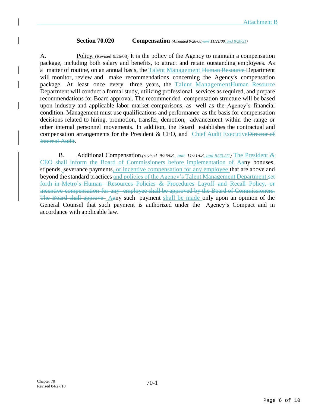## **Section 70.020 Compensation** *(Amended 9/26/08, and 11/21/08, and 8/20/21)*

A. Policy. (Revised 9/26/08) It is the policy of the Agency to maintain a compensation package, including both salary and benefits, to attract and retain outstanding employees. As a matter of routine, on an annual basis, the Talent Management Human Resource Department will monitor, review and make recommendations concerning the Agency's compensation package. At least once every three years, the Talent ManagementHuman Resource Department will conduct a formal study, utilizing professional services as required, and prepare recommendations for Board approval. The recommended compensation structure will be based upon industry and applicable labor market comparisons, as -well as the Agency's financial condition. Management must use qualifications and performance as the basis for compensation decisions related to hiring, promotion, transfer, demotion, advancement within the range or other internal personnel movements. In addition, the Board establishes the contractual and compensation arrangements for the President & CEO, and Chief Audit ExecutiveDirector of Internal Audit.

B. Additional Compensation*.(revised 9/26/08, and 11/21/08, and 8/20./21)* The President & CEO shall inform the Board of Commissioners before implementation of Aany bonuses, stipends, severance payments, or incentive compensation for any employee that are above and beyond the standard practices and policies of the Agency's Talent Management Department.set forth in Metro's Human Resources Policies & Procedures Layoff and Recall Policy, or incentive compensation for any employee shall be approved by the Board of Commissioners. The Board shall approve Aany such payment shall be made only upon an opinion of the General Counsel that such payment is authorized under the Agency's Compact and in accordance with applicable law.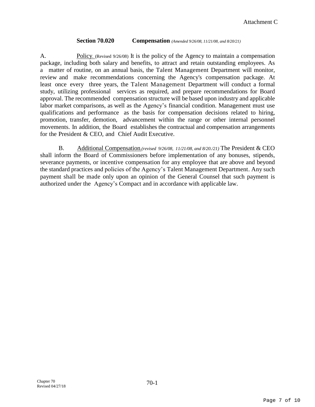## **Section 70.020 Compensation** *(Amended 9/26/08, 11/21/08, and 8/20/21)*

A. Policy. (Revised 9/26/08) It is the policy of the Agency to maintain a compensation package, including both salary and benefits, to attract and retain outstanding employees. As a matter of routine, on an annual basis, the Talent Management Department will monitor, review and make recommendations concerning the Agency's compensation package. At least once every three years, the Talent Management Department will conduct a formal study, utilizing professional services as required, and prepare recommendations for Board approval. The recommended compensation structure will be based upon industry and applicable labor market comparisons, as well as the Agency's financial condition. Management must use qualifications and performance as the basis for compensation decisions related to hiring, promotion, transfer, demotion, advancement within the range or other internal personnel movements. In addition, the Board establishes the contractual and compensation arrangements for the President & CEO, and Chief Audit Executive.

B. Additional Compensation*.(revised 9/26/08, 11/21/08, and 8/20./21)* The President & CEO shall inform the Board of Commissioners before implementation of any bonuses, stipends, severance payments, or incentive compensation for any employee that are above and beyond the standard practices and policies of the Agency's Talent Management Department. Any such payment shall be made only upon an opinion of the General Counsel that such payment is authorized under the Agency's Compact and in accordance with applicable law.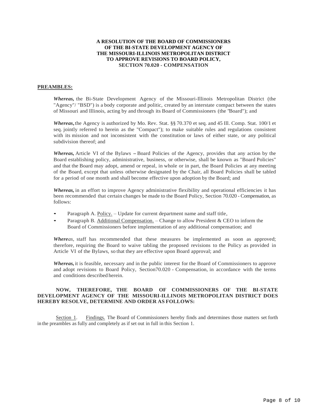### **A RESOLUTION OF THE BOARD OF COMMISSIONERS OF THE BI-STATE DEVELOPMENT AGENCY OF THE MISSOURI-ILLINOIS METROPOLITAN DISTRICT TO APPROVE REVISIONS TO BOARD POLICY, SECTION 70.020 - COMPENSATION**

#### **PREAMBLES:**

*Whereas,* the Bi-State Development Agency of the Missouri-Illinois Metropolitan District (the "Agency"/ "BSD") is a body corporate and politic, created by an interstate compact between the states of Missouri and Illinois, acting by and through its Board of Commissioners (the "Board"); and

*Whereas***,**the Agency is authorized by Mo. Rev. Stat. §§ 70.370 et seq. and 45 Ill. Comp. Stat. 100/1 et seq. jointly referred to herein as the "Compact"); to make suitable rules and regulations consistent with its mission and not inconsistent with the constitution or laws of either state, or any political subdivision thereof; and

*Whereas,* Article VI of the Bylaws -Board Policies of the Agency, provides that any action by the Board establishing policy, administrative, business, or otherwise, shall be known as "Board Policies" and that the Board may adopt, amend or repeal, in whole or in part, the Board Policies at any meeting of the Board, except that unless otherwise designated by the Chair, all Board Policies shall be tabled for a period of one month and shall become effective upon adoption by the Board; and

*Whereas,* in an effort to improve Agency administrative flexibility and operational efficiencies it has been recommended that certain changes be made to the Board Policy, Section 70.020 - Compensation, as follows:

- Paragraph A. Policy. Update for current department name and staff title,
- Paragraph B. Additional Compensation. Change to allow President & CEO to inform the Board of Commissioners before implementation of any additional compensation; and

*Whereas,* staff has recommended that these measures be implemented as soon as approved; therefore, requiring the Board to waive tabling the proposed revisions to the Policy as provided in Article VI of the Bylaws, so that they are effective upon Board approval; and

*Whereas,* it is feasible, necessary and in the public interest for the Board of Commissioners to approve and adopt revisions to Board Policy, Section70.020 - Compensation, in accordance with the terms and conditions described herein.

#### **NOW, THEREFORE, THE BOARD OF COMMISSIONERS OF THE BI-STATE DEVELOPMENT AGENCY OF THE MISSOURI-ILLINOIS METROPOLITAN DISTRICT DOES HEREBY RESOLVE, DETERMINE AND ORDER AS FOLLOWS:**

Section 1. Findings. The Board of Commissioners hereby finds and determines those matters set forth in the preambles as fully and completely as if set out in full in this Section 1.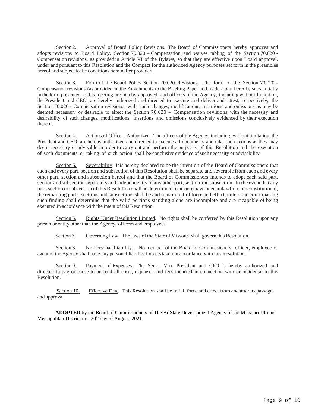Section 2. Approval of Board Policy Revisions. The Board of Commissioners hereby approves and adopts revisions to Board Policy, Section 70.020 – Compensation, and waives tabling of the Section 70.020 - Compensation revisions, as provided in Article VI of the Bylaws, so that they are effective upon Board approval, under and pursuant to this Resolution and the Compact for the authorized Agency purposes set forth in the preambles hereof and subject to the conditions hereinafter provided.

Section 3. Form of the Board Policy Section 70.020 Revisions. The form of the Section 70.020 - Compensation revisions (as provided in the Attachments to the Briefing Paper and made a part hereof), substantially in the form presented to this meeting are hereby approved, and officers of the Agency, including without limitation, the President and CEO, are hereby authorized and directed to execute and deliver and attest, respectively, the Section 70.020 - Compensation revisions, with such changes, modifications, insertions and omissions as may be deemed necessary or desirable to affect the Section 70.020 – Compensation revisions with the necessity and desirability of such changes, modifications, insertions and omissions conclusively evidenced by their execution thereof.

Section 4. Actions of Officers Authorized. The officers of the Agency, including, without limitation, the President and CEO, are hereby authorized and directed to execute all documents and take such actions as they may deem necessary or advisable in order to carry out and perform the purposes of this Resolution and the execution of such documents or taking of such action shall be conclusive evidence ofsuch necessity or advisability.

Section 5. Severability. It is hereby declared to be the intention of the Board of Commissioners that each and every part, section and subsection ofthis Resolution shall be separate and severable from each and every other part, section and subsection hereof and that the Board of Commissioners intends to adopt each said part, section and subsection separately and independently of any other part, section and subsection. In the event that any part, section or subsection of this Resolution shall be determined to be orto have been unlawful or unconstitutional, the remaining parts, sections and subsections shall be and remain in full force and effect, unless the court making such finding shall determine that the valid portions standing alone are incomplete and are incapable of being executed in accordance with the intent of this Resolution.

Section 6. Rights Under Resolution Limited. No rights shall be conferred by this Resolution upon any person or entity other than the Agency, officers and employees.

Section 7. Governing Law. The laws of the State of Missouri shall govern this Resolution.

Section 8. No Personal Liability. No member of the Board of Commissioners, officer, employee or agent of the Agency shall have any personal liability for actstaken in accordance with this Resolution.

Section 9. Payment of Expenses. The Senior Vice President and CFO is hereby authorized and directed to pay or cause to be paid all costs, expenses and fees incurred in connection with or incidental to this Resolution.

Section 10. Effective Date. This Resolution shall be in full force and effect from and after its passage and approval.

 **ADOPTED** by the Board of Commissioners of The Bi-State Development Agency of the Missouri-Illinois Metropolitan District this  $20<sup>th</sup>$  day of August, 2021.